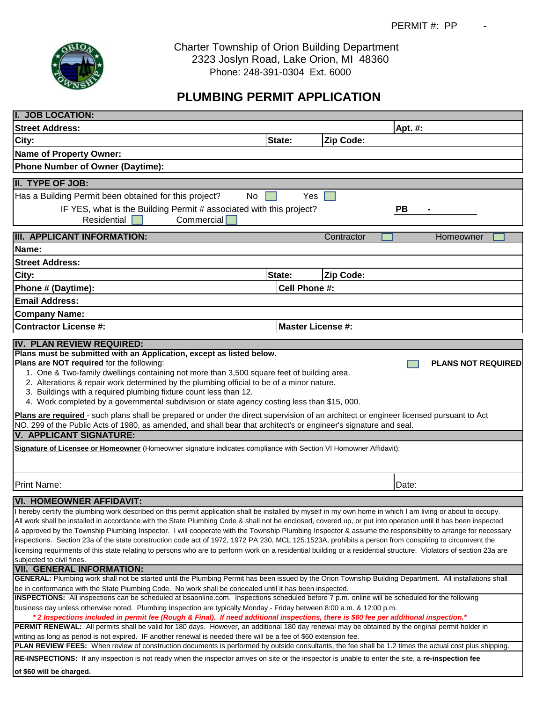

 Charter Township of Orion Building Department 2323 Joslyn Road, Lake Orion, MI 48360 Phone: 248-391-0304 Ext. 6000

## **PLUMBING PERMIT APPLICATION**

| I. JOB LOCATION:                                                                                                                                                                                                                                                                                                                                                                                                                                                                                                                                                                                                                                                                                                                                                                                                                                                                           |                          |            |           |  |  |  |  |  |  |
|--------------------------------------------------------------------------------------------------------------------------------------------------------------------------------------------------------------------------------------------------------------------------------------------------------------------------------------------------------------------------------------------------------------------------------------------------------------------------------------------------------------------------------------------------------------------------------------------------------------------------------------------------------------------------------------------------------------------------------------------------------------------------------------------------------------------------------------------------------------------------------------------|--------------------------|------------|-----------|--|--|--|--|--|--|
| <b>Street Address:</b>                                                                                                                                                                                                                                                                                                                                                                                                                                                                                                                                                                                                                                                                                                                                                                                                                                                                     |                          |            | Apt. #:   |  |  |  |  |  |  |
| City:                                                                                                                                                                                                                                                                                                                                                                                                                                                                                                                                                                                                                                                                                                                                                                                                                                                                                      | State:                   | Zip Code:  |           |  |  |  |  |  |  |
| <b>Name of Property Owner:</b>                                                                                                                                                                                                                                                                                                                                                                                                                                                                                                                                                                                                                                                                                                                                                                                                                                                             |                          |            |           |  |  |  |  |  |  |
| <b>Phone Number of Owner (Daytime):</b>                                                                                                                                                                                                                                                                                                                                                                                                                                                                                                                                                                                                                                                                                                                                                                                                                                                    |                          |            |           |  |  |  |  |  |  |
| II. TYPE OF JOB:                                                                                                                                                                                                                                                                                                                                                                                                                                                                                                                                                                                                                                                                                                                                                                                                                                                                           |                          |            |           |  |  |  |  |  |  |
| Has a Building Permit been obtained for this project?<br>No.                                                                                                                                                                                                                                                                                                                                                                                                                                                                                                                                                                                                                                                                                                                                                                                                                               | <b>Yes</b>               |            |           |  |  |  |  |  |  |
| IF YES, what is the Building Permit # associated with this project?                                                                                                                                                                                                                                                                                                                                                                                                                                                                                                                                                                                                                                                                                                                                                                                                                        |                          |            | <b>PB</b> |  |  |  |  |  |  |
| <b>Commercial</b><br>Residential                                                                                                                                                                                                                                                                                                                                                                                                                                                                                                                                                                                                                                                                                                                                                                                                                                                           |                          |            |           |  |  |  |  |  |  |
| <b>III. APPLICANT INFORMATION:</b>                                                                                                                                                                                                                                                                                                                                                                                                                                                                                                                                                                                                                                                                                                                                                                                                                                                         |                          | Contractor | Homeowner |  |  |  |  |  |  |
| Name:                                                                                                                                                                                                                                                                                                                                                                                                                                                                                                                                                                                                                                                                                                                                                                                                                                                                                      |                          |            |           |  |  |  |  |  |  |
| <b>Street Address:</b>                                                                                                                                                                                                                                                                                                                                                                                                                                                                                                                                                                                                                                                                                                                                                                                                                                                                     |                          |            |           |  |  |  |  |  |  |
| City:                                                                                                                                                                                                                                                                                                                                                                                                                                                                                                                                                                                                                                                                                                                                                                                                                                                                                      | State:                   | Zip Code:  |           |  |  |  |  |  |  |
| Phone # (Daytime):                                                                                                                                                                                                                                                                                                                                                                                                                                                                                                                                                                                                                                                                                                                                                                                                                                                                         | Cell Phone #:            |            |           |  |  |  |  |  |  |
| <b>Email Address:</b>                                                                                                                                                                                                                                                                                                                                                                                                                                                                                                                                                                                                                                                                                                                                                                                                                                                                      |                          |            |           |  |  |  |  |  |  |
| <b>Company Name:</b>                                                                                                                                                                                                                                                                                                                                                                                                                                                                                                                                                                                                                                                                                                                                                                                                                                                                       |                          |            |           |  |  |  |  |  |  |
| <b>Contractor License #:</b>                                                                                                                                                                                                                                                                                                                                                                                                                                                                                                                                                                                                                                                                                                                                                                                                                                                               | <b>Master License #:</b> |            |           |  |  |  |  |  |  |
| IV. PLAN REVIEW REQUIRED:<br>Plans must be submitted with an Application, except as listed below.                                                                                                                                                                                                                                                                                                                                                                                                                                                                                                                                                                                                                                                                                                                                                                                          |                          |            |           |  |  |  |  |  |  |
| Plans are NOT required for the following:<br>1. One & Two-family dwellings containing not more than 3,500 square feet of building area.<br>2. Alterations & repair work determined by the plumbing official to be of a minor nature.<br>3. Buildings with a required plumbing fixture count less than 12.<br>4. Work completed by a governmental subdivision or state agency costing less than \$15, 000.<br>Plans are required - such plans shall be prepared or under the direct supervision of an architect or engineer licensed pursuant to Act                                                                                                                                                                                                                                                                                                                                        |                          |            |           |  |  |  |  |  |  |
| NO. 299 of the Public Acts of 1980, as amended, and shall bear that architect's or engineer's signature and seal.<br><b>V. APPLICANT SIGNATURE:</b>                                                                                                                                                                                                                                                                                                                                                                                                                                                                                                                                                                                                                                                                                                                                        |                          |            |           |  |  |  |  |  |  |
| Signature of Licensee or Homeowner (Homeowner signature indicates compliance with Section VI Homowner Affidavit):                                                                                                                                                                                                                                                                                                                                                                                                                                                                                                                                                                                                                                                                                                                                                                          |                          |            |           |  |  |  |  |  |  |
| <b>Print Name:</b>                                                                                                                                                                                                                                                                                                                                                                                                                                                                                                                                                                                                                                                                                                                                                                                                                                                                         |                          |            | Date:     |  |  |  |  |  |  |
| <b>VI. HOMEOWNER AFFIDAVIT:</b>                                                                                                                                                                                                                                                                                                                                                                                                                                                                                                                                                                                                                                                                                                                                                                                                                                                            |                          |            |           |  |  |  |  |  |  |
| I hereby certify the plumbing work described on this permit application shall be installed by myself in my own home in which I am living or about to occupy.<br>All work shall be installed in accordance with the State Plumbing Code & shall not be enclosed, covered up, or put into operation until it has been inspected<br>& approved by the Township Plumbing Inspector. I will cooperate with the Township Plumbing Inspector & assume the responsibility to arrange for necessary<br>inspections. Section 23a of the state construction code act of 1972, 1972 PA 230, MCL 125.1523A, prohibits a person from conspiring to circumvent the<br>licensing requirments of this state relating to persons who are to perform work on a residential building or a residential structure. Violators of section 23a are<br>subjected to civil fines.<br><b>VII. GENERAL INFORMATION:</b> |                          |            |           |  |  |  |  |  |  |
| GENERAL: Plumbing work shall not be started until the Plumbing Permit has been issued by the Orion Township Building Department. All installations shall<br>be in conformance with the State Plumbing Code. No work shall be concealed until it has been inspected.                                                                                                                                                                                                                                                                                                                                                                                                                                                                                                                                                                                                                        |                          |            |           |  |  |  |  |  |  |
| INSPECTIONS: All inspections can be scheduled at bsaonline.com. Inspections scheduled before 7 p.m. online will be scheduled for the following<br>business day unless otherwise noted. Plumbing Inspection are typically Monday - Friday between 8:00 a.m. & 12:00 p.m.<br>*2 Inspections included in permit fee (Rough & Final). If need additional inspections, there is \$60 fee per additional inspection.*<br>PERMIT RENEWAL: All permits shall be valid for 180 days. However, an additional 180 day renewal may be obtained by the original permit holder in                                                                                                                                                                                                                                                                                                                        |                          |            |           |  |  |  |  |  |  |
| writing as long as period is not expired. IF another renewal is needed there will be a fee of \$60 extension fee.<br>PLAN REVIEW FEES: When review of construction documents is performed by outside consultants, the fee shall be 1.2 times the actual cost plus shipping.                                                                                                                                                                                                                                                                                                                                                                                                                                                                                                                                                                                                                |                          |            |           |  |  |  |  |  |  |
| <b>RE-INSPECTIONS:</b> If any inspection is not ready when the inspector arrives on site or the inspector is unable to enter the site, a re-inspection fee                                                                                                                                                                                                                                                                                                                                                                                                                                                                                                                                                                                                                                                                                                                                 |                          |            |           |  |  |  |  |  |  |
| of \$60 will be charged.                                                                                                                                                                                                                                                                                                                                                                                                                                                                                                                                                                                                                                                                                                                                                                                                                                                                   |                          |            |           |  |  |  |  |  |  |